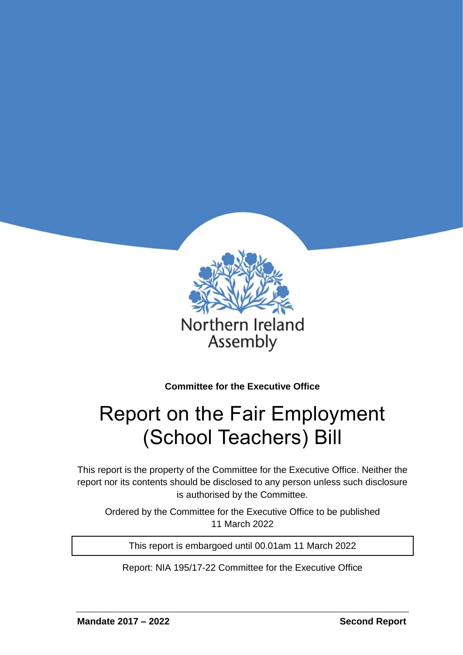

**Committee for the Executive Office**

# Report on the Fair Employment (School Teachers) Bill

This report is the property of the Committee for the Executive Office. Neither the report nor its contents should be disclosed to any person unless such disclosure is authorised by the Committee.

Ordered by the Committee for the Executive Office to be published 11 March 2022

This report is embargoed until 00.01am 11 March 2022

Report: NIA 195/17-22 Committee for the Executive Office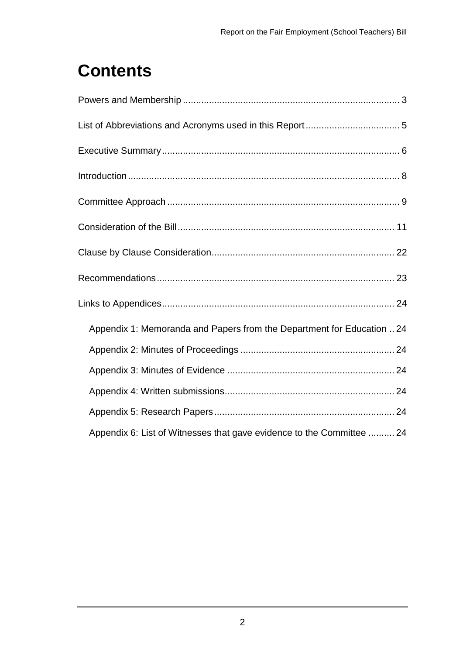# **Contents**

| Appendix 1: Memoranda and Papers from the Department for Education  24 |
|------------------------------------------------------------------------|
|                                                                        |
|                                                                        |
|                                                                        |
|                                                                        |
| Appendix 6: List of Witnesses that gave evidence to the Committee  24  |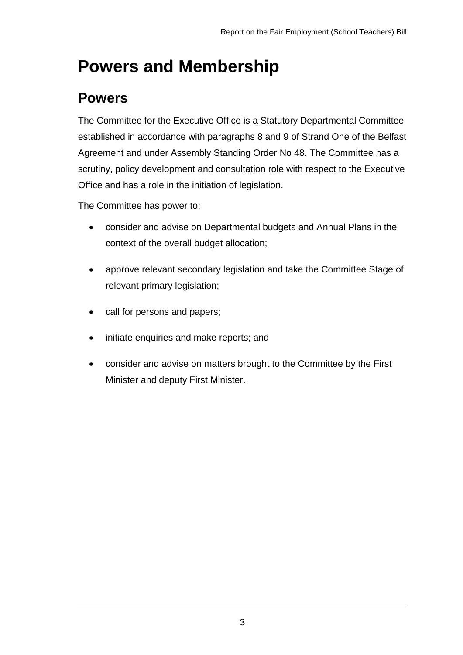## <span id="page-2-0"></span>**Powers and Membership**

### **Powers**

The Committee for the Executive Office is a Statutory Departmental Committee established in accordance with paragraphs 8 and 9 of Strand One of the Belfast Agreement and under Assembly Standing Order No 48. The Committee has a scrutiny, policy development and consultation role with respect to the Executive Office and has a role in the initiation of legislation.

The Committee has power to:

- consider and advise on Departmental budgets and Annual Plans in the context of the overall budget allocation;
- approve relevant secondary legislation and take the Committee Stage of relevant primary legislation;
- call for persons and papers;
- initiate enquiries and make reports; and
- consider and advise on matters brought to the Committee by the First Minister and deputy First Minister.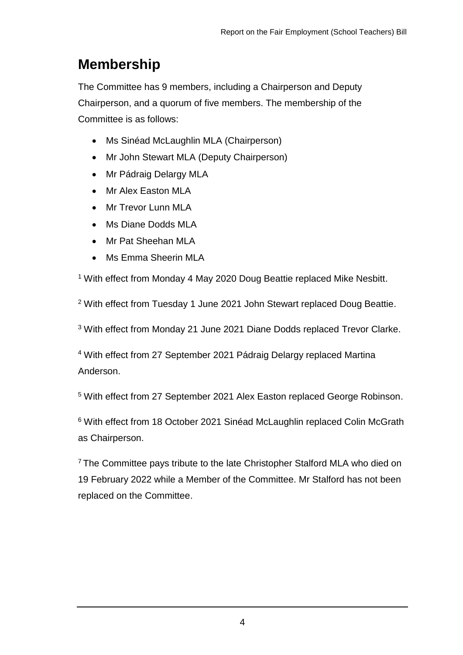## **Membership**

The Committee has 9 members, including a Chairperson and Deputy Chairperson, and a quorum of five members. The membership of the Committee is as follows:

- Ms Sinéad McLaughlin MLA (Chairperson)
- Mr John Stewart MLA (Deputy Chairperson)
- Mr Pádraig Delargy MLA
- Mr Alex Easton MLA
- Mr Trevor Lunn MLA
- Ms Diane Dodds MLA
- Mr Pat Sheehan MLA
- Ms Emma Sheerin MLA

<sup>1</sup> With effect from Monday 4 May 2020 Doug Beattie replaced Mike Nesbitt.

<sup>2</sup> With effect from Tuesday 1 June 2021 John Stewart replaced Doug Beattie.

<sup>3</sup> With effect from Monday 21 June 2021 Diane Dodds replaced Trevor Clarke.

<sup>4</sup> With effect from 27 September 2021 Pádraig Delargy replaced Martina Anderson.

<sup>5</sup> With effect from 27 September 2021 Alex Easton replaced George Robinson.

<sup>6</sup> With effect from 18 October 2021 Sinéad McLaughlin replaced Colin McGrath as Chairperson.

<sup>7</sup> The Committee pays tribute to the late Christopher Stalford MLA who died on 19 February 2022 while a Member of the Committee. Mr Stalford has not been replaced on the Committee.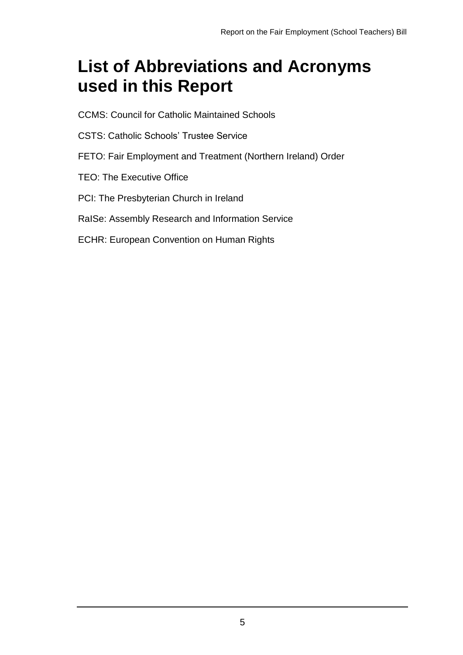## <span id="page-4-0"></span>**List of Abbreviations and Acronyms used in this Report**

- CCMS: Council for Catholic Maintained Schools
- CSTS: Catholic Schools' Trustee Service
- FETO: Fair Employment and Treatment (Northern Ireland) Order
- TEO: The Executive Office
- PCI: The Presbyterian Church in Ireland
- RaISe: Assembly Research and Information Service
- ECHR: European Convention on Human Rights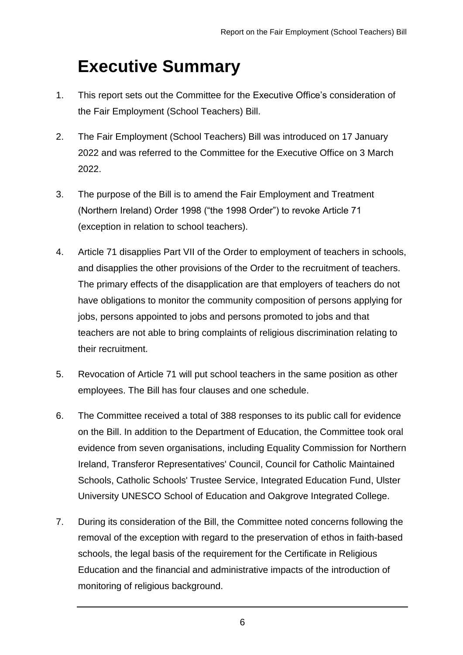## <span id="page-5-0"></span>**Executive Summary**

- 1. This report sets out the Committee for the Executive Office's consideration of the Fair Employment (School Teachers) Bill.
- 2. The Fair Employment (School Teachers) Bill was introduced on 17 January 2022 and was referred to the Committee for the Executive Office on 3 March 2022.
- 3. The purpose of the Bill is to amend the Fair Employment and Treatment (Northern Ireland) Order 1998 ("the 1998 Order") to revoke Article 71 (exception in relation to school teachers).
- 4. Article 71 disapplies Part VII of the Order to employment of teachers in schools, and disapplies the other provisions of the Order to the recruitment of teachers. The primary effects of the disapplication are that employers of teachers do not have obligations to monitor the community composition of persons applying for jobs, persons appointed to jobs and persons promoted to jobs and that teachers are not able to bring complaints of religious discrimination relating to their recruitment.
- 5. Revocation of Article 71 will put school teachers in the same position as other employees. The Bill has four clauses and one schedule.
- 6. The Committee received a total of 388 responses to its public call for evidence on the Bill. In addition to the Department of Education, the Committee took oral evidence from seven organisations, including Equality Commission for Northern Ireland, Transferor Representatives' Council, Council for Catholic Maintained Schools, Catholic Schools' Trustee Service, Integrated Education Fund, Ulster University UNESCO School of Education and Oakgrove Integrated College.
- 7. During its consideration of the Bill, the Committee noted concerns following the removal of the exception with regard to the preservation of ethos in faith-based schools, the legal basis of the requirement for the Certificate in Religious Education and the financial and administrative impacts of the introduction of monitoring of religious background.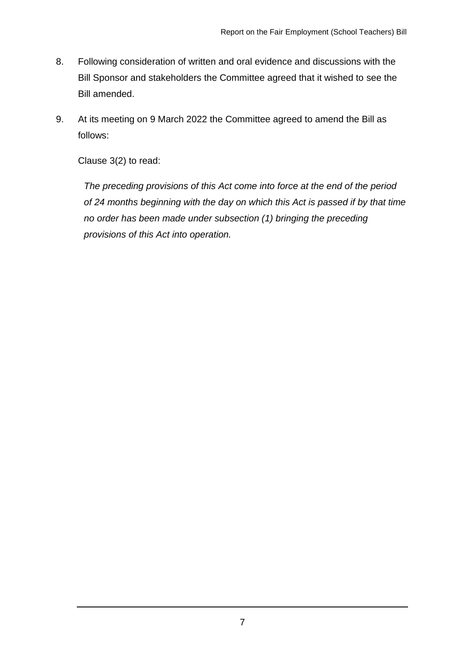- 8. Following consideration of written and oral evidence and discussions with the Bill Sponsor and stakeholders the Committee agreed that it wished to see the Bill amended.
- 9. At its meeting on 9 March 2022 the Committee agreed to amend the Bill as follows:

Clause 3(2) to read:

*The preceding provisions of this Act come into force at the end of the period of 24 months beginning with the day on which this Act is passed if by that time no order has been made under subsection (1) bringing the preceding provisions of this Act into operation.*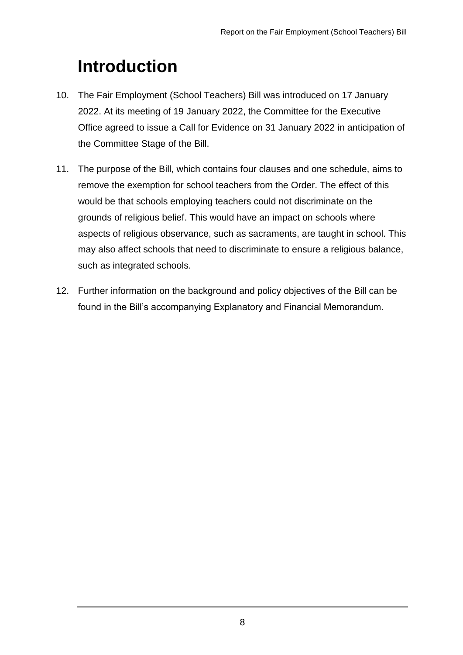# <span id="page-7-0"></span>**Introduction**

- 10. The Fair Employment (School Teachers) Bill was introduced on 17 January 2022. At its meeting of 19 January 2022, the Committee for the Executive Office agreed to issue a Call for Evidence on 31 January 2022 in anticipation of the Committee Stage of the Bill.
- 11. The purpose of the Bill, which contains four clauses and one schedule, aims to remove the exemption for school teachers from the Order. The effect of this would be that schools employing teachers could not discriminate on the grounds of religious belief. This would have an impact on schools where aspects of religious observance, such as sacraments, are taught in school. This may also affect schools that need to discriminate to ensure a religious balance, such as integrated schools.
- 12. Further information on the background and policy objectives of the Bill can be found in the Bill's accompanying Explanatory and Financial Memorandum.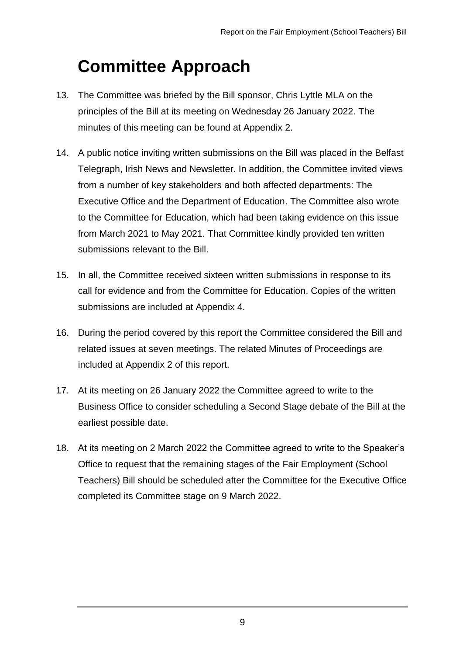## <span id="page-8-0"></span>**Committee Approach**

- 13. The Committee was briefed by the Bill sponsor, Chris Lyttle MLA on the principles of the Bill at its meeting on Wednesday 26 January 2022. The minutes of this meeting can be found at Appendix 2.
- 14. A public notice inviting written submissions on the Bill was placed in the Belfast Telegraph, Irish News and Newsletter. In addition, the Committee invited views from a number of key stakeholders and both affected departments: The Executive Office and the Department of Education. The Committee also wrote to the Committee for Education, which had been taking evidence on this issue from March 2021 to May 2021. That Committee kindly provided ten written submissions relevant to the Bill.
- 15. In all, the Committee received sixteen written submissions in response to its call for evidence and from the Committee for Education. Copies of the written submissions are included at Appendix 4.
- 16. During the period covered by this report the Committee considered the Bill and related issues at seven meetings. The related Minutes of Proceedings are included at Appendix 2 of this report.
- 17. At its meeting on 26 January 2022 the Committee agreed to write to the Business Office to consider scheduling a Second Stage debate of the Bill at the earliest possible date.
- 18. At its meeting on 2 March 2022 the Committee agreed to write to the Speaker's Office to request that the remaining stages of the Fair Employment (School Teachers) Bill should be scheduled after the Committee for the Executive Office completed its Committee stage on 9 March 2022.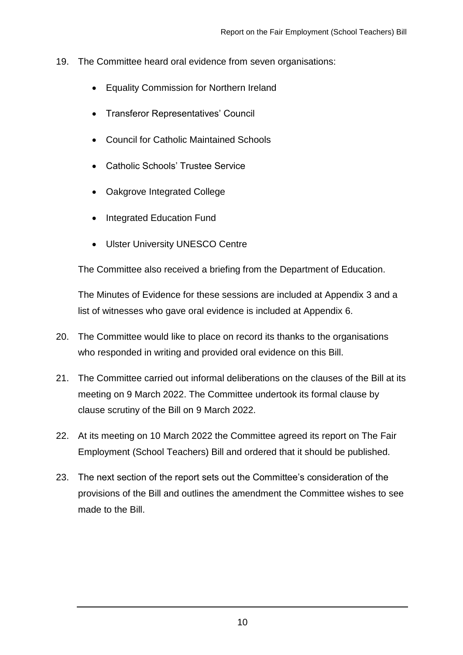- 19. The Committee heard oral evidence from seven organisations:
	- Equality Commission for Northern Ireland
	- Transferor Representatives' Council
	- Council for Catholic Maintained Schools
	- Catholic Schools' Trustee Service
	- Oakgrove Integrated College
	- Integrated Education Fund
	- Ulster University UNESCO Centre

The Committee also received a briefing from the Department of Education.

The Minutes of Evidence for these sessions are included at Appendix 3 and a list of witnesses who gave oral evidence is included at Appendix 6.

- 20. The Committee would like to place on record its thanks to the organisations who responded in writing and provided oral evidence on this Bill.
- 21. The Committee carried out informal deliberations on the clauses of the Bill at its meeting on 9 March 2022. The Committee undertook its formal clause by clause scrutiny of the Bill on 9 March 2022.
- 22. At its meeting on 10 March 2022 the Committee agreed its report on The Fair Employment (School Teachers) Bill and ordered that it should be published.
- 23. The next section of the report sets out the Committee's consideration of the provisions of the Bill and outlines the amendment the Committee wishes to see made to the Bill.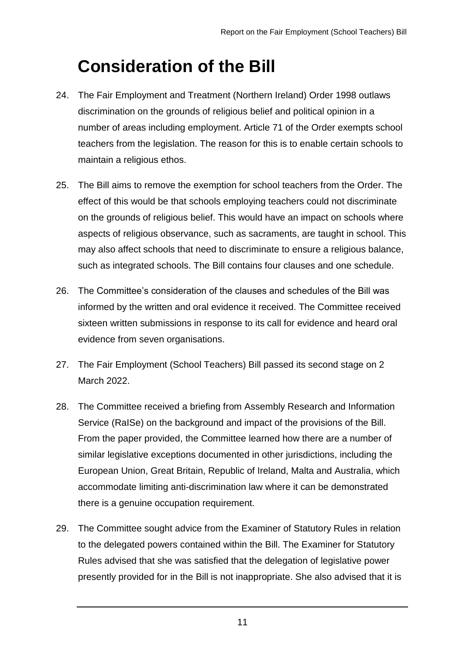## <span id="page-10-0"></span>**Consideration of the Bill**

- 24. The Fair Employment and Treatment (Northern Ireland) Order 1998 outlaws discrimination on the grounds of religious belief and political opinion in a number of areas including employment. Article 71 of the Order exempts school teachers from the legislation. The reason for this is to enable certain schools to maintain a religious ethos.
- 25. The Bill aims to remove the exemption for school teachers from the Order. The effect of this would be that schools employing teachers could not discriminate on the grounds of religious belief. This would have an impact on schools where aspects of religious observance, such as sacraments, are taught in school. This may also affect schools that need to discriminate to ensure a religious balance, such as integrated schools. The Bill contains four clauses and one schedule.
- 26. The Committee's consideration of the clauses and schedules of the Bill was informed by the written and oral evidence it received. The Committee received sixteen written submissions in response to its call for evidence and heard oral evidence from seven organisations.
- 27. The Fair Employment (School Teachers) Bill passed its second stage on 2 March 2022.
- 28. The Committee received a briefing from Assembly Research and Information Service (RaISe) on the background and impact of the provisions of the Bill. From the paper provided, the Committee learned how there are a number of similar legislative exceptions documented in other jurisdictions, including the European Union, Great Britain, Republic of Ireland, Malta and Australia, which accommodate limiting anti-discrimination law where it can be demonstrated there is a genuine occupation requirement.
- 29. The Committee sought advice from the Examiner of Statutory Rules in relation to the delegated powers contained within the Bill. The Examiner for Statutory Rules advised that she was satisfied that the delegation of legislative power presently provided for in the Bill is not inappropriate. She also advised that it is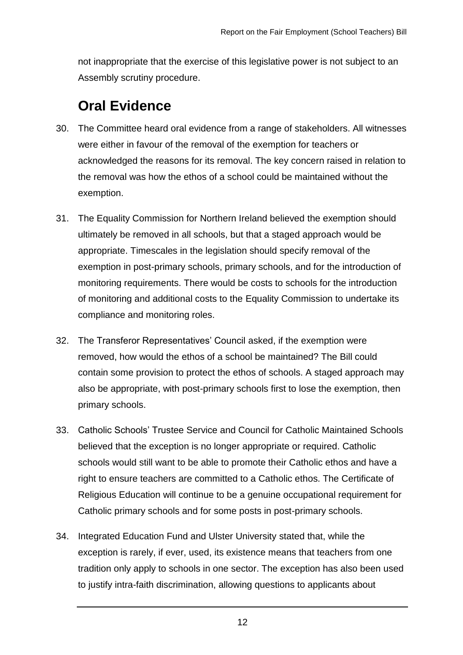not inappropriate that the exercise of this legislative power is not subject to an Assembly scrutiny procedure.

## **Oral Evidence**

- 30. The Committee heard oral evidence from a range of stakeholders. All witnesses were either in favour of the removal of the exemption for teachers or acknowledged the reasons for its removal. The key concern raised in relation to the removal was how the ethos of a school could be maintained without the exemption.
- 31. The Equality Commission for Northern Ireland believed the exemption should ultimately be removed in all schools, but that a staged approach would be appropriate. Timescales in the legislation should specify removal of the exemption in post-primary schools, primary schools, and for the introduction of monitoring requirements. There would be costs to schools for the introduction of monitoring and additional costs to the Equality Commission to undertake its compliance and monitoring roles.
- 32. The Transferor Representatives' Council asked, if the exemption were removed, how would the ethos of a school be maintained? The Bill could contain some provision to protect the ethos of schools. A staged approach may also be appropriate, with post-primary schools first to lose the exemption, then primary schools.
- 33. Catholic Schools' Trustee Service and Council for Catholic Maintained Schools believed that the exception is no longer appropriate or required. Catholic schools would still want to be able to promote their Catholic ethos and have a right to ensure teachers are committed to a Catholic ethos. The Certificate of Religious Education will continue to be a genuine occupational requirement for Catholic primary schools and for some posts in post-primary schools.
- 34. Integrated Education Fund and Ulster University stated that, while the exception is rarely, if ever, used, its existence means that teachers from one tradition only apply to schools in one sector. The exception has also been used to justify intra-faith discrimination, allowing questions to applicants about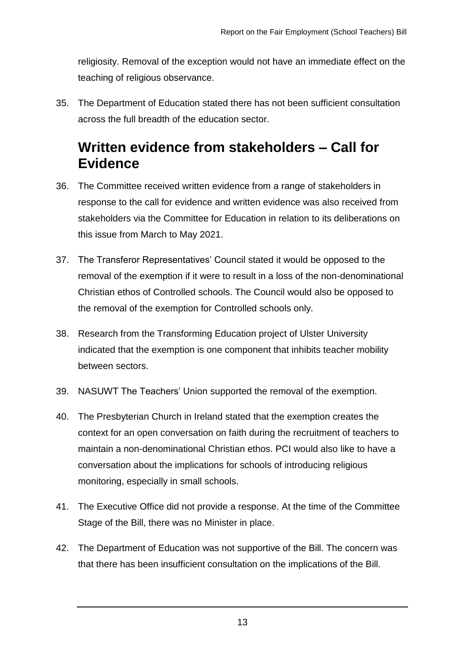religiosity. Removal of the exception would not have an immediate effect on the teaching of religious observance.

35. The Department of Education stated there has not been sufficient consultation across the full breadth of the education sector.

## **Written evidence from stakeholders – Call for Evidence**

- 36. The Committee received written evidence from a range of stakeholders in response to the call for evidence and written evidence was also received from stakeholders via the Committee for Education in relation to its deliberations on this issue from March to May 2021.
- 37. The Transferor Representatives' Council stated it would be opposed to the removal of the exemption if it were to result in a loss of the non-denominational Christian ethos of Controlled schools. The Council would also be opposed to the removal of the exemption for Controlled schools only.
- 38. Research from the Transforming Education project of Ulster University indicated that the exemption is one component that inhibits teacher mobility between sectors.
- 39. NASUWT The Teachers' Union supported the removal of the exemption.
- 40. The Presbyterian Church in Ireland stated that the exemption creates the context for an open conversation on faith during the recruitment of teachers to maintain a non-denominational Christian ethos. PCI would also like to have a conversation about the implications for schools of introducing religious monitoring, especially in small schools.
- 41. The Executive Office did not provide a response. At the time of the Committee Stage of the Bill, there was no Minister in place.
- 42. The Department of Education was not supportive of the Bill. The concern was that there has been insufficient consultation on the implications of the Bill.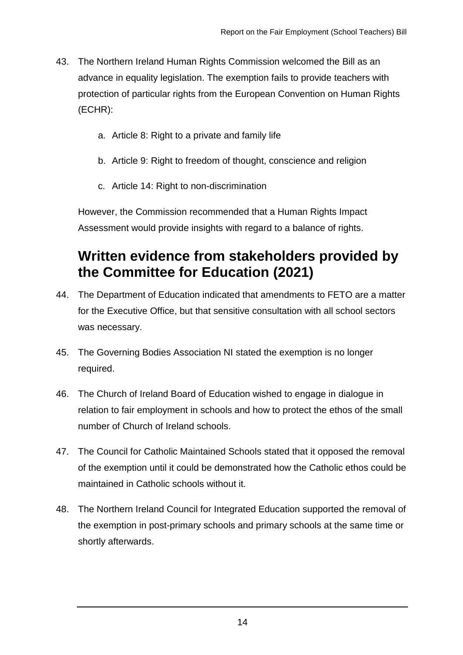- 43. The Northern Ireland Human Rights Commission welcomed the Bill as an advance in equality legislation. The exemption fails to provide teachers with protection of particular rights from the European Convention on Human Rights (ECHR):
	- a. Article 8: Right to a private and family life
	- b. Article 9: Right to freedom of thought, conscience and religion
	- c. Article 14: Right to non-discrimination

However, the Commission recommended that a Human Rights Impact Assessment would provide insights with regard to a balance of rights.

## **Written evidence from stakeholders provided by the Committee for Education (2021)**

- 44. The Department of Education indicated that amendments to FETO are a matter for the Executive Office, but that sensitive consultation with all school sectors was necessary.
- 45. The Governing Bodies Association NI stated the exemption is no longer required.
- 46. The Church of Ireland Board of Education wished to engage in dialogue in relation to fair employment in schools and how to protect the ethos of the small number of Church of Ireland schools.
- 47. The Council for Catholic Maintained Schools stated that it opposed the removal of the exemption until it could be demonstrated how the Catholic ethos could be maintained in Catholic schools without it.
- 48. The Northern Ireland Council for Integrated Education supported the removal of the exemption in post-primary schools and primary schools at the same time or shortly afterwards.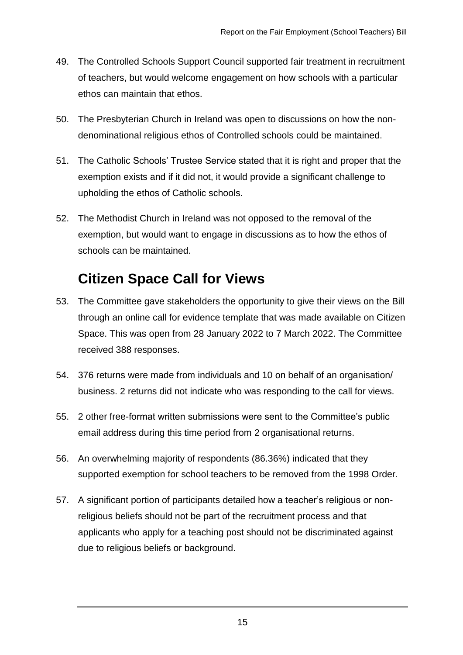- 49. The Controlled Schools Support Council supported fair treatment in recruitment of teachers, but would welcome engagement on how schools with a particular ethos can maintain that ethos.
- 50. The Presbyterian Church in Ireland was open to discussions on how the nondenominational religious ethos of Controlled schools could be maintained.
- 51. The Catholic Schools' Trustee Service stated that it is right and proper that the exemption exists and if it did not, it would provide a significant challenge to upholding the ethos of Catholic schools.
- 52. The Methodist Church in Ireland was not opposed to the removal of the exemption, but would want to engage in discussions as to how the ethos of schools can be maintained.

### **Citizen Space Call for Views**

- 53. The Committee gave stakeholders the opportunity to give their views on the Bill through an online call for evidence template that was made available on Citizen Space. This was open from 28 January 2022 to 7 March 2022. The Committee received 388 responses.
- 54. 376 returns were made from individuals and 10 on behalf of an organisation/ business. 2 returns did not indicate who was responding to the call for views.
- 55. 2 other free-format written submissions were sent to the Committee's public email address during this time period from 2 organisational returns.
- 56. An overwhelming majority of respondents (86.36%) indicated that they supported exemption for school teachers to be removed from the 1998 Order.
- 57. A significant portion of participants detailed how a teacher's religious or nonreligious beliefs should not be part of the recruitment process and that applicants who apply for a teaching post should not be discriminated against due to religious beliefs or background.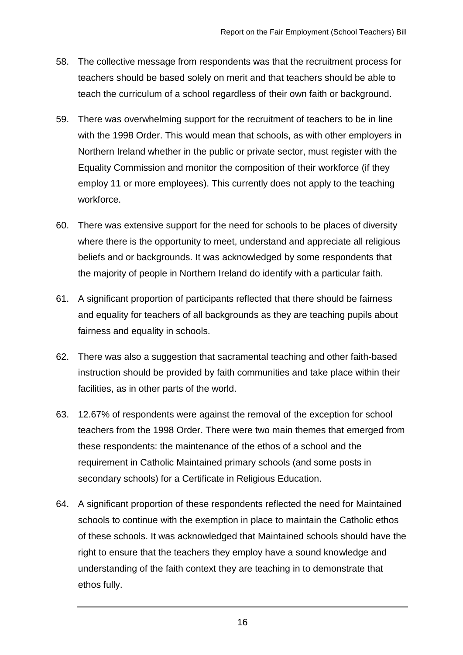- 58. The collective message from respondents was that the recruitment process for teachers should be based solely on merit and that teachers should be able to teach the curriculum of a school regardless of their own faith or background.
- 59. There was overwhelming support for the recruitment of teachers to be in line with the 1998 Order. This would mean that schools, as with other employers in Northern Ireland whether in the public or private sector, must register with the Equality Commission and monitor the composition of their workforce (if they employ 11 or more employees). This currently does not apply to the teaching workforce.
- 60. There was extensive support for the need for schools to be places of diversity where there is the opportunity to meet, understand and appreciate all religious beliefs and or backgrounds. It was acknowledged by some respondents that the majority of people in Northern Ireland do identify with a particular faith.
- 61. A significant proportion of participants reflected that there should be fairness and equality for teachers of all backgrounds as they are teaching pupils about fairness and equality in schools.
- 62. There was also a suggestion that sacramental teaching and other faith-based instruction should be provided by faith communities and take place within their facilities, as in other parts of the world.
- 63. 12.67% of respondents were against the removal of the exception for school teachers from the 1998 Order. There were two main themes that emerged from these respondents: the maintenance of the ethos of a school and the requirement in Catholic Maintained primary schools (and some posts in secondary schools) for a Certificate in Religious Education.
- 64. A significant proportion of these respondents reflected the need for Maintained schools to continue with the exemption in place to maintain the Catholic ethos of these schools. It was acknowledged that Maintained schools should have the right to ensure that the teachers they employ have a sound knowledge and understanding of the faith context they are teaching in to demonstrate that ethos fully.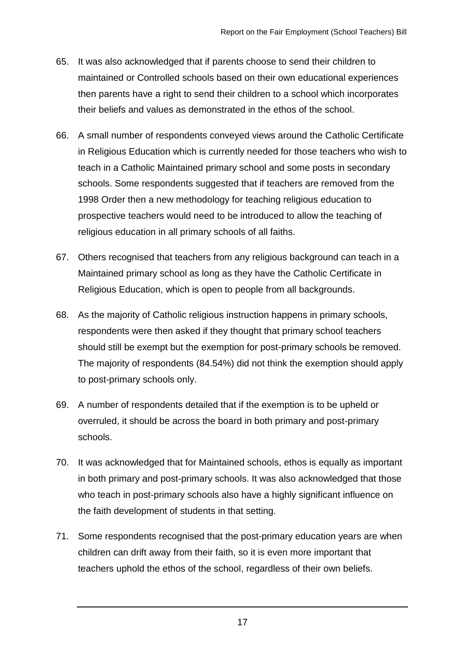- 65. It was also acknowledged that if parents choose to send their children to maintained or Controlled schools based on their own educational experiences then parents have a right to send their children to a school which incorporates their beliefs and values as demonstrated in the ethos of the school.
- 66. A small number of respondents conveyed views around the Catholic Certificate in Religious Education which is currently needed for those teachers who wish to teach in a Catholic Maintained primary school and some posts in secondary schools. Some respondents suggested that if teachers are removed from the 1998 Order then a new methodology for teaching religious education to prospective teachers would need to be introduced to allow the teaching of religious education in all primary schools of all faiths.
- 67. Others recognised that teachers from any religious background can teach in a Maintained primary school as long as they have the Catholic Certificate in Religious Education, which is open to people from all backgrounds.
- 68. As the majority of Catholic religious instruction happens in primary schools, respondents were then asked if they thought that primary school teachers should still be exempt but the exemption for post-primary schools be removed. The majority of respondents (84.54%) did not think the exemption should apply to post-primary schools only.
- 69. A number of respondents detailed that if the exemption is to be upheld or overruled, it should be across the board in both primary and post-primary schools.
- 70. It was acknowledged that for Maintained schools, ethos is equally as important in both primary and post-primary schools. It was also acknowledged that those who teach in post-primary schools also have a highly significant influence on the faith development of students in that setting.
- 71. Some respondents recognised that the post-primary education years are when children can drift away from their faith, so it is even more important that teachers uphold the ethos of the school, regardless of their own beliefs.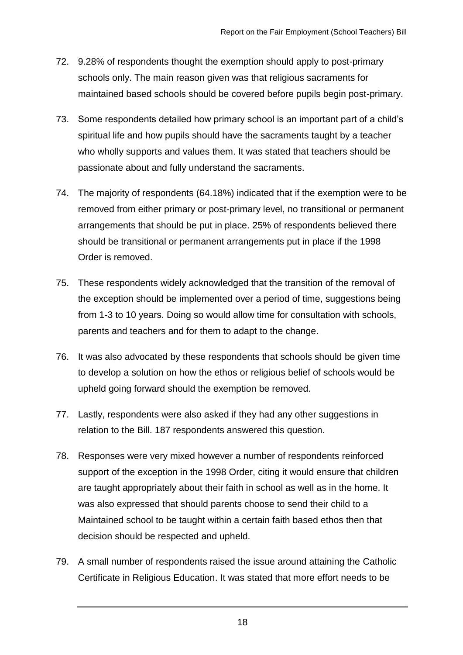- 72. 9.28% of respondents thought the exemption should apply to post-primary schools only. The main reason given was that religious sacraments for maintained based schools should be covered before pupils begin post-primary.
- 73. Some respondents detailed how primary school is an important part of a child's spiritual life and how pupils should have the sacraments taught by a teacher who wholly supports and values them. It was stated that teachers should be passionate about and fully understand the sacraments.
- 74. The majority of respondents (64.18%) indicated that if the exemption were to be removed from either primary or post-primary level, no transitional or permanent arrangements that should be put in place. 25% of respondents believed there should be transitional or permanent arrangements put in place if the 1998 Order is removed.
- 75. These respondents widely acknowledged that the transition of the removal of the exception should be implemented over a period of time, suggestions being from 1-3 to 10 years. Doing so would allow time for consultation with schools, parents and teachers and for them to adapt to the change.
- 76. It was also advocated by these respondents that schools should be given time to develop a solution on how the ethos or religious belief of schools would be upheld going forward should the exemption be removed.
- 77. Lastly, respondents were also asked if they had any other suggestions in relation to the Bill. 187 respondents answered this question.
- 78. Responses were very mixed however a number of respondents reinforced support of the exception in the 1998 Order, citing it would ensure that children are taught appropriately about their faith in school as well as in the home. It was also expressed that should parents choose to send their child to a Maintained school to be taught within a certain faith based ethos then that decision should be respected and upheld.
- 79. A small number of respondents raised the issue around attaining the Catholic Certificate in Religious Education. It was stated that more effort needs to be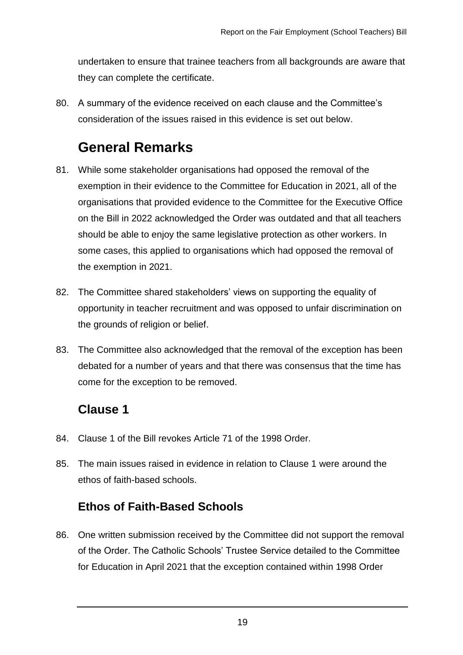undertaken to ensure that trainee teachers from all backgrounds are aware that they can complete the certificate.

80. A summary of the evidence received on each clause and the Committee's consideration of the issues raised in this evidence is set out below.

## **General Remarks**

- 81. While some stakeholder organisations had opposed the removal of the exemption in their evidence to the Committee for Education in 2021, all of the organisations that provided evidence to the Committee for the Executive Office on the Bill in 2022 acknowledged the Order was outdated and that all teachers should be able to enjoy the same legislative protection as other workers. In some cases, this applied to organisations which had opposed the removal of the exemption in 2021.
- 82. The Committee shared stakeholders' views on supporting the equality of opportunity in teacher recruitment and was opposed to unfair discrimination on the grounds of religion or belief.
- 83. The Committee also acknowledged that the removal of the exception has been debated for a number of years and that there was consensus that the time has come for the exception to be removed.

#### **Clause 1**

- 84. Clause 1 of the Bill revokes Article 71 of the 1998 Order.
- 85. The main issues raised in evidence in relation to Clause 1 were around the ethos of faith-based schools.

#### **Ethos of Faith-Based Schools**

86. One written submission received by the Committee did not support the removal of the Order. The Catholic Schools' Trustee Service detailed to the Committee for Education in April 2021 that the exception contained within 1998 Order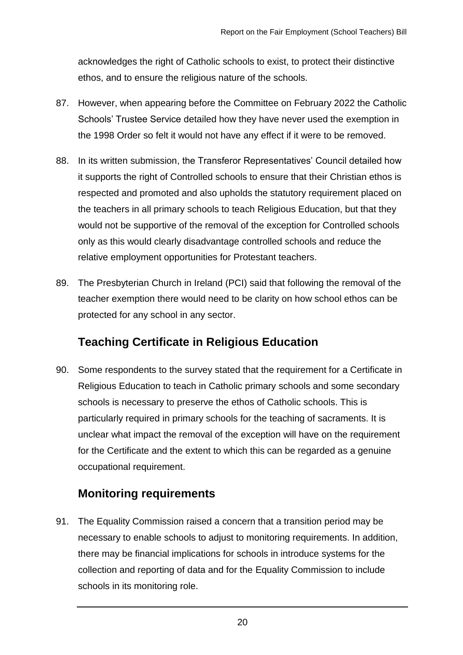acknowledges the right of Catholic schools to exist, to protect their distinctive ethos, and to ensure the religious nature of the schools.

- 87. However, when appearing before the Committee on February 2022 the Catholic Schools' Trustee Service detailed how they have never used the exemption in the 1998 Order so felt it would not have any effect if it were to be removed.
- 88. In its written submission, the Transferor Representatives' Council detailed how it supports the right of Controlled schools to ensure that their Christian ethos is respected and promoted and also upholds the statutory requirement placed on the teachers in all primary schools to teach Religious Education, but that they would not be supportive of the removal of the exception for Controlled schools only as this would clearly disadvantage controlled schools and reduce the relative employment opportunities for Protestant teachers.
- 89. The Presbyterian Church in Ireland (PCI) said that following the removal of the teacher exemption there would need to be clarity on how school ethos can be protected for any school in any sector.

#### **Teaching Certificate in Religious Education**

90. Some respondents to the survey stated that the requirement for a Certificate in Religious Education to teach in Catholic primary schools and some secondary schools is necessary to preserve the ethos of Catholic schools. This is particularly required in primary schools for the teaching of sacraments. It is unclear what impact the removal of the exception will have on the requirement for the Certificate and the extent to which this can be regarded as a genuine occupational requirement.

#### **Monitoring requirements**

91. The Equality Commission raised a concern that a transition period may be necessary to enable schools to adjust to monitoring requirements. In addition, there may be financial implications for schools in introduce systems for the collection and reporting of data and for the Equality Commission to include schools in its monitoring role.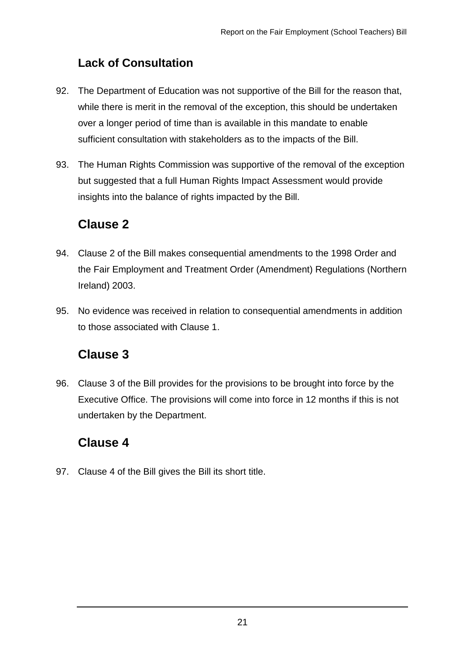#### **Lack of Consultation**

- 92. The Department of Education was not supportive of the Bill for the reason that, while there is merit in the removal of the exception, this should be undertaken over a longer period of time than is available in this mandate to enable sufficient consultation with stakeholders as to the impacts of the Bill.
- 93. The Human Rights Commission was supportive of the removal of the exception but suggested that a full Human Rights Impact Assessment would provide insights into the balance of rights impacted by the Bill.

#### **Clause 2**

- 94. Clause 2 of the Bill makes consequential amendments to the 1998 Order and the Fair Employment and Treatment Order (Amendment) Regulations (Northern Ireland) 2003.
- 95. No evidence was received in relation to consequential amendments in addition to those associated with Clause 1.

#### **Clause 3**

96. Clause 3 of the Bill provides for the provisions to be brought into force by the Executive Office. The provisions will come into force in 12 months if this is not undertaken by the Department.

#### **Clause 4**

97. Clause 4 of the Bill gives the Bill its short title.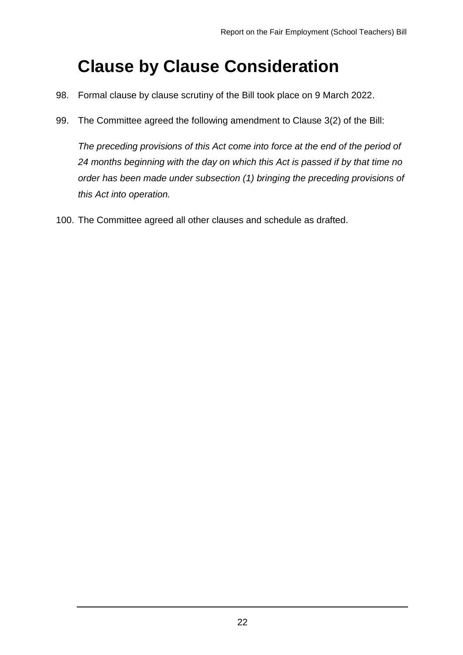## <span id="page-21-0"></span>**Clause by Clause Consideration**

- 98. Formal clause by clause scrutiny of the Bill took place on 9 March 2022.
- 99. The Committee agreed the following amendment to Clause 3(2) of the Bill:

*The preceding provisions of this Act come into force at the end of the period of 24 months beginning with the day on which this Act is passed if by that time no order has been made under subsection (1) bringing the preceding provisions of this Act into operation.*

100. The Committee agreed all other clauses and schedule as drafted.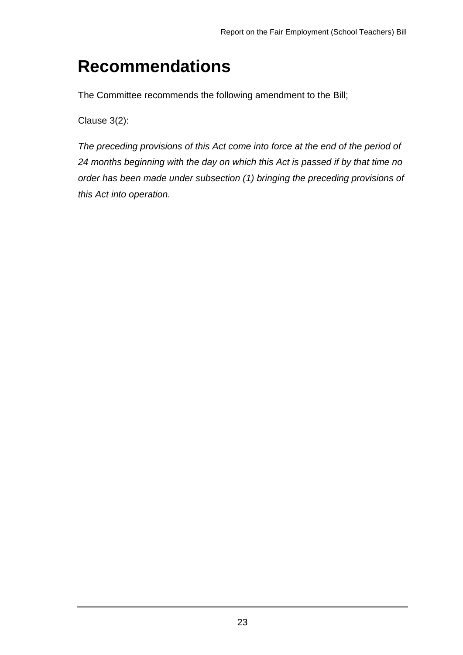## <span id="page-22-0"></span>**Recommendations**

The Committee recommends the following amendment to the Bill;

Clause 3(2):

*The preceding provisions of this Act come into force at the end of the period of 24 months beginning with the day on which this Act is passed if by that time no order has been made under subsection (1) bringing the preceding provisions of this Act into operation.*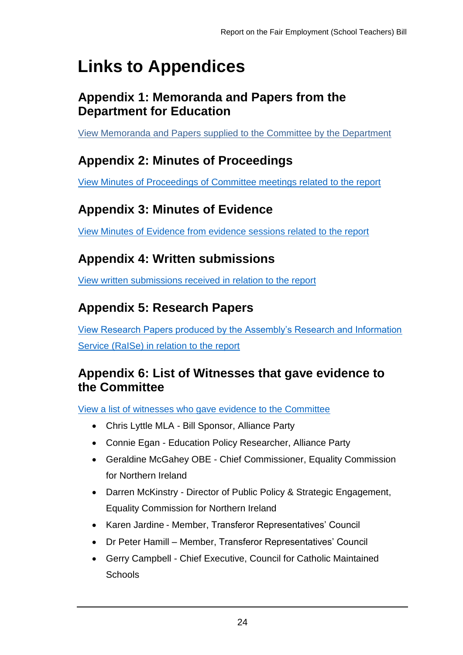# <span id="page-23-0"></span>**Links to Appendices**

#### <span id="page-23-1"></span>**Appendix 1: Memoranda and Papers from the Department for Education**

[View Memoranda and Papers supplied to the Committee by the Department](http://www.niassembly.gov.uk/assembly-business/committees/2017-2022/the-executive-office/primary-legislation/fair-employment-school-teachers-bill/memoranda-and-papers-from-the-department-of-education/)

### <span id="page-23-2"></span>**Appendix 2: Minutes of Proceedings**

[View Minutes of Proceedings of Committee meetings related to the report](http://www.niassembly.gov.uk/assembly-business/committees/2017-2022/the-executive-office/primary-legislation/fair-employment-school-teachers-bill/minutes-of-proceedings/)

### <span id="page-23-3"></span>**Appendix 3: Minutes of Evidence**

[View Minutes of Evidence from evidence sessions related to the report](http://www.niassembly.gov.uk/assembly-business/committees/2017-2022/the-executive-office/primary-legislation/fair-employment-school-teachers-bill/minutes-of-evidence/)

### <span id="page-23-4"></span>**Appendix 4: Written submissions**

[View written submissions received in relation to the report](http://www.niassembly.gov.uk/assembly-business/committees/2017-2022/the-executive-office/primary-legislation/fair-employment-school-teachers-bill/written-submissions/)

### <span id="page-23-5"></span>**Appendix 5: Research Papers**

[View Research Papers produced by the Assembly's Research and Information](http://www.niassembly.gov.uk/assembly-business/committees/2017-2022/the-executive-office/primary-legislation/fair-employment-school-teachers-bill/research-papers)  [Service \(RaISe\) in relation to the report](http://www.niassembly.gov.uk/assembly-business/committees/2017-2022/the-executive-office/primary-legislation/fair-employment-school-teachers-bill/research-papers)

#### <span id="page-23-6"></span>**Appendix 6: List of Witnesses that gave evidence to the Committee**

[View a list of witnesses who gave evidence to the Committee](http://www.niassembly.gov.uk/assembly-business/committees/2017-2022/the-executive-office/primary-legislation/fair-employment-school-teachers-bill/list-of-witnesses-who-gave-evidence-to-the-committee/)

- Chris Lyttle MLA Bill Sponsor, Alliance Party
- Connie Egan Education Policy Researcher, Alliance Party
- Geraldine McGahey OBE Chief Commissioner, Equality Commission for Northern Ireland
- Darren McKinstry Director of Public Policy & Strategic Engagement, Equality Commission for Northern Ireland
- Karen Jardine Member, Transferor Representatives' Council
- Dr Peter Hamill Member, Transferor Representatives' Council
- Gerry Campbell Chief Executive, Council for Catholic Maintained **Schools**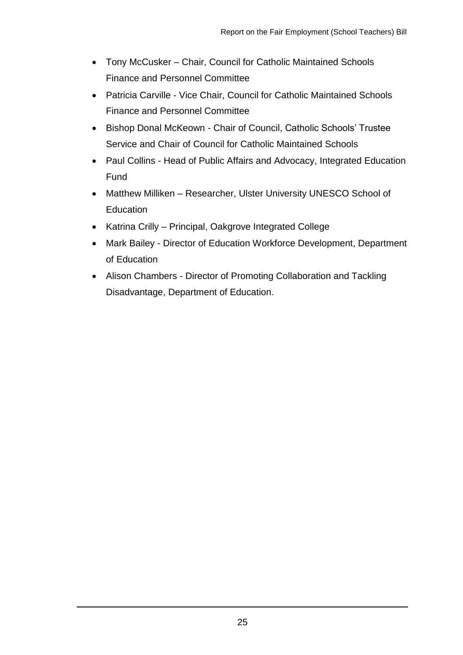- Tony McCusker Chair, Council for Catholic Maintained Schools Finance and Personnel Committee
- Patricia Carville Vice Chair, Council for Catholic Maintained Schools Finance and Personnel Committee
- Bishop Donal McKeown Chair of Council, Catholic Schools' Trustee Service and Chair of Council for Catholic Maintained Schools
- Paul Collins Head of Public Affairs and Advocacy, Integrated Education Fund
- Matthew Milliken Researcher, Ulster University UNESCO School of **Education**
- Katrina Crilly Principal, Oakgrove Integrated College
- Mark Bailey Director of Education Workforce Development, Department of Education
- Alison Chambers Director of Promoting Collaboration and Tackling Disadvantage, Department of Education.